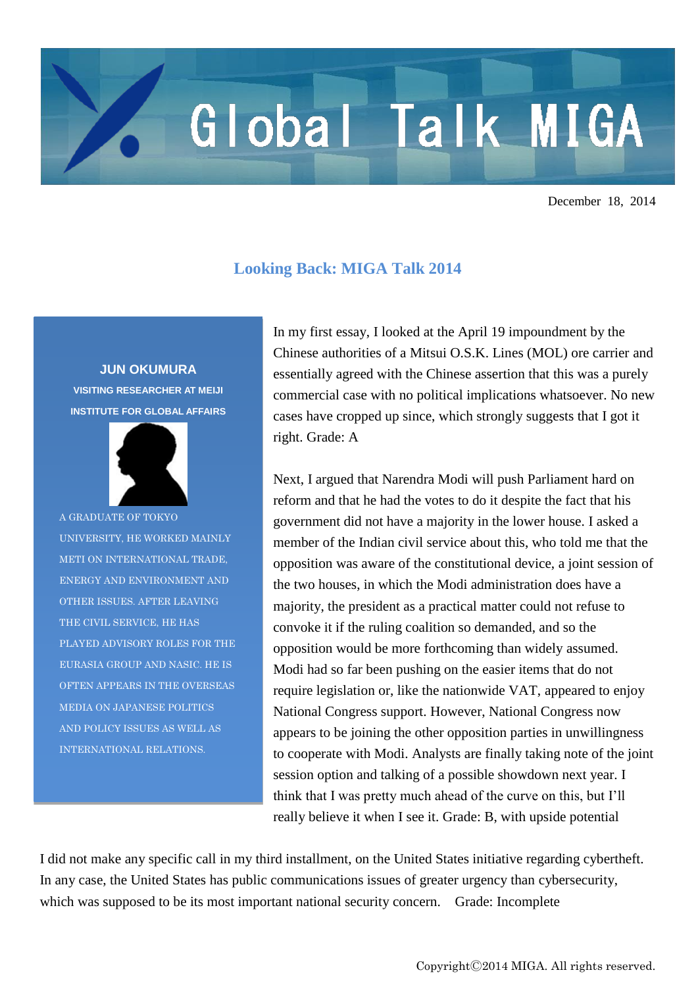## Global Talk MIGA

December 18, 2014

## **Looking Back: MIGA Talk 2014**

**JUN OKUMURA VISITING RESEARCHER AT MEIJI INSTITUTE FOR GLOBAL AFFAIRS**



A GRADUATE OF TOKYO UNIVERSITY, HE WORKED MAINLY METI ON INTERNATIONAL TRADE, ENERGY AND ENVIRONMENT AND OTHER ISSUES. AFTER LEAVING THE CIVIL SERVICE, HE HAS PLAYED ADVISORY ROLES FOR THE EURASIA GROUP AND NASIC. HE IS OFTEN APPEARS IN THE OVERSEAS MEDIA ON JAPANESE POLITICS AND POLICY ISSUES AS WELL AS INTERNATIONAL RELATIONS.

In my first essay, I looked at the April 19 impoundment by the Chinese authorities of a Mitsui O.S.K. Lines (MOL) ore carrier and essentially agreed with the Chinese assertion that this was a purely commercial case with no political implications whatsoever. No new cases have cropped up since, which strongly suggests that I got it right. Grade: A

Next, I argued that Narendra Modi will push Parliament hard on reform and that he had the votes to do it despite the fact that his government did not have a majority in the lower house. I asked a member of the Indian civil service about this, who told me that the opposition was aware of the constitutional device, a joint session of the two houses, in which the Modi administration does have a majority, the president as a practical matter could not refuse to convoke it if the ruling coalition so demanded, and so the opposition would be more forthcoming than widely assumed. Modi had so far been pushing on the easier items that do not require legislation or, like the nationwide VAT, appeared to enjoy National Congress support. However, National Congress now appears to be joining the other opposition parties in unwillingness to cooperate with Modi. Analysts are finally taking note of the joint session option and talking of a possible showdown next year. I think that I was pretty much ahead of the curve on this, but I'll really believe it when I see it. Grade: B, with upside potential

I did not make any specific call in my third installment, on the United States initiative regarding cybertheft. In any case, the United States has public communications issues of greater urgency than cybersecurity, which was supposed to be its most important national security concern. Grade: Incomplete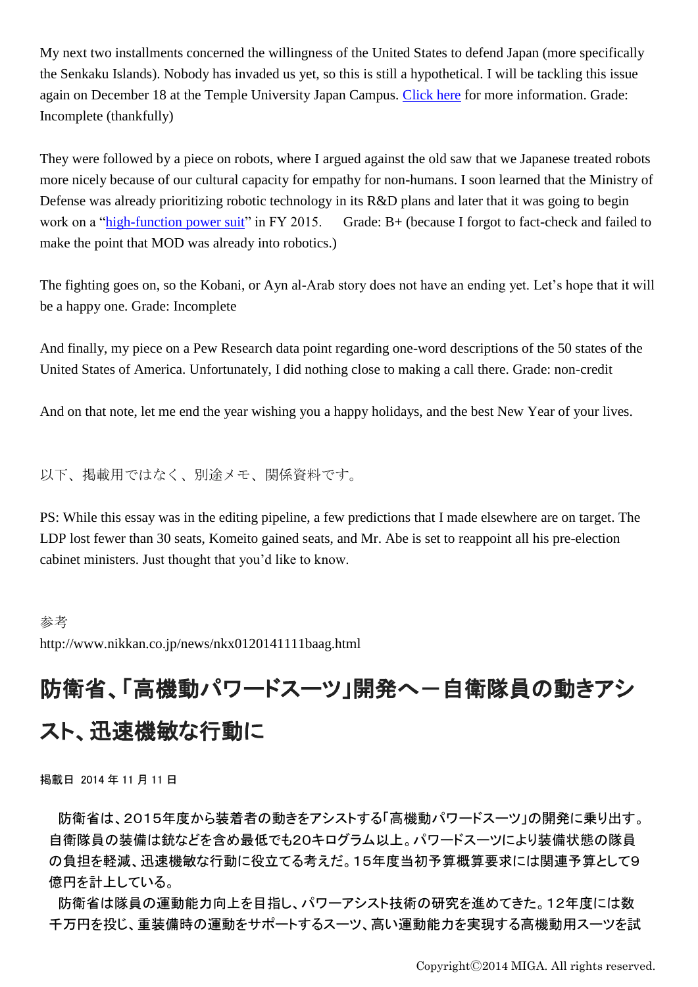My next two installments concerned the willingness of the United States to defend Japan (more specifically the Senkaku Islands). Nobody has invaded us yet, so this is still a hypothetical. I will be tackling this issue again on December 18 at the Temple University Japan Campus. [Click here](https://www.tuj.ac.jp/icas/event/will-the-us-defend-the-senkakus-paul-sracic-and-jun-okumura/) for more information. Grade: Incomplete (thankfully)

They were followed by a piece on robots, where I argued against the old saw that we Japanese treated robots more nicely because of our cultural capacity for empathy for non-humans. I soon learned that the Ministry of Defense was already prioritizing robotic technology in its R&D plans and later that it was going to begin work on a ["high-function power suit"](http://www.nikkan.co.jp/news/nkx0120141111baag.html) in FY 2015. Grade: B+ (because I forgot to fact-check and failed to make the point that MOD was already into robotics.)

The fighting goes on, so the Kobani, or Ayn al-Arab story does not have an ending yet. Let's hope that it will be a happy one. Grade: Incomplete

And finally, my piece on a Pew Research data point regarding one-word descriptions of the 50 states of the United States of America. Unfortunately, I did nothing close to making a call there. Grade: non-credit

And on that note, let me end the year wishing you a happy holidays, and the best New Year of your lives.

以下、掲載用ではなく、別途メモ、関係資料です。

PS: While this essay was in the editing pipeline, a few predictions that I made elsewhere are on target. The LDP lost fewer than 30 seats, Komeito gained seats, and Mr. Abe is set to reappoint all his pre-election cabinet ministers. Just thought that you'd like to know.

## 参考

http://www.nikkan.co.jp/news/nkx0120141111baag.html

## 防衛省、「高機動パワードスーツ」開発へ一自衛隊員の動きアシ スト、迅速機敏な行動に

掲載日 2014 年 11 月 11 日

防衛省は、2015年度から装着者の動きをアシストする「高機動パワードスーツ」の開発に乗り出す。 自衛隊員の装備は銃などを含め最低でも20キログラム以上。パワードスーツにより装備状態の隊員 の負担を軽減、迅速機敏な行動に役立てる考えだ。15年度当初予算概算要求には関連予算として9 億円を計上している。

防衛省は隊員の運動能力向上を目指し、パワーアシスト技術の研究を進めてきた。12年度には数 千万円を投じ、重装備時の運動をサポートするスーツ、高い運動能力を実現する高機動用スーツを試